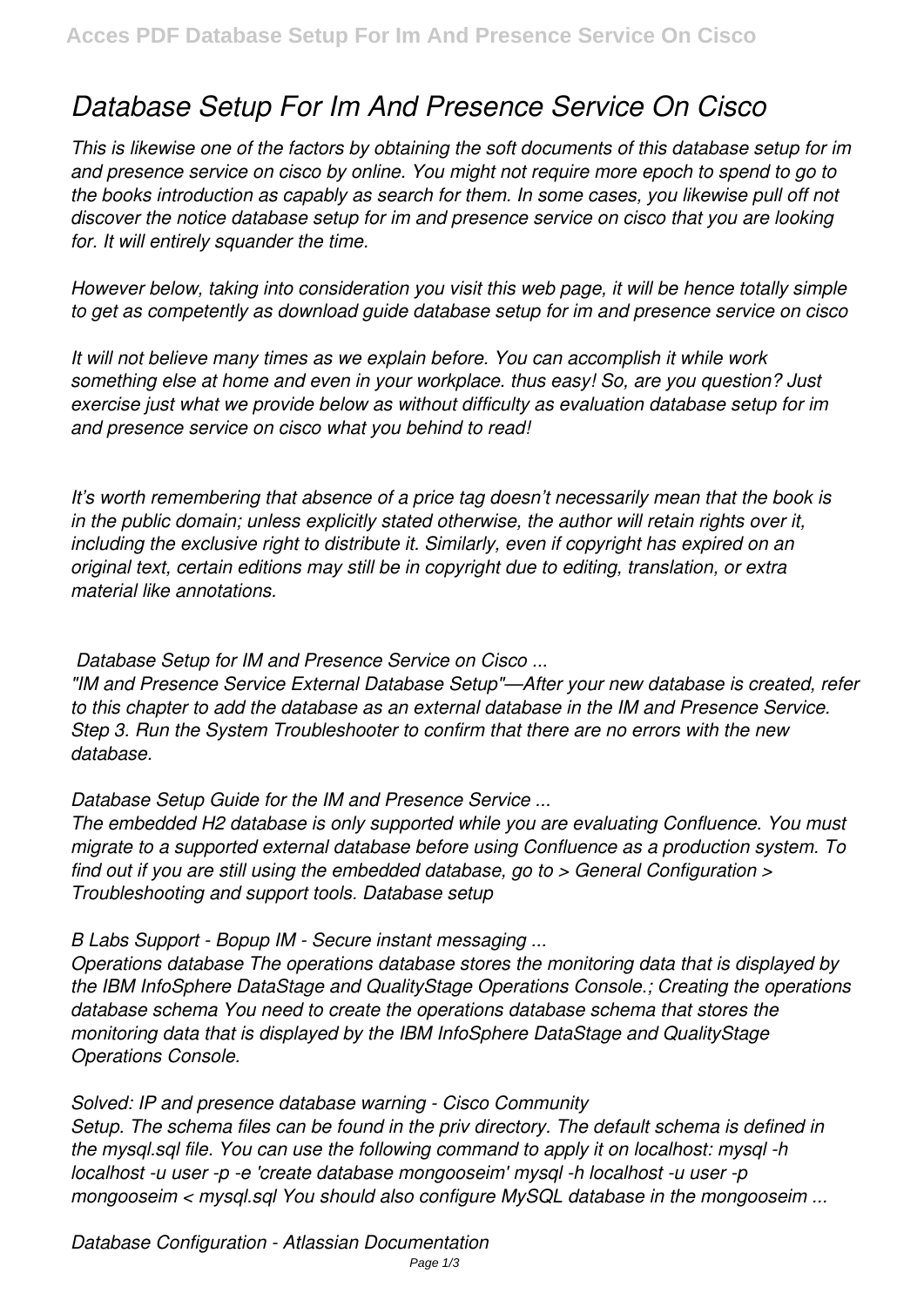# *Database Setup For Im And Presence Service On Cisco*

*This is likewise one of the factors by obtaining the soft documents of this database setup for im and presence service on cisco by online. You might not require more epoch to spend to go to the books introduction as capably as search for them. In some cases, you likewise pull off not discover the notice database setup for im and presence service on cisco that you are looking for. It will entirely squander the time.*

*However below, taking into consideration you visit this web page, it will be hence totally simple to get as competently as download guide database setup for im and presence service on cisco*

*It will not believe many times as we explain before. You can accomplish it while work something else at home and even in your workplace. thus easy! So, are you question? Just exercise just what we provide below as without difficulty as evaluation database setup for im and presence service on cisco what you behind to read!*

*It's worth remembering that absence of a price tag doesn't necessarily mean that the book is in the public domain; unless explicitly stated otherwise, the author will retain rights over it, including the exclusive right to distribute it. Similarly, even if copyright has expired on an original text, certain editions may still be in copyright due to editing, translation, or extra material like annotations.*

*Database Setup for IM and Presence Service on Cisco ...*

*"IM and Presence Service External Database Setup"—After your new database is created, refer to this chapter to add the database as an external database in the IM and Presence Service. Step 3. Run the System Troubleshooter to confirm that there are no errors with the new database.*

*Database Setup Guide for the IM and Presence Service ...*

*The embedded H2 database is only supported while you are evaluating Confluence. You must migrate to a supported external database before using Confluence as a production system. To find out if you are still using the embedded database, go to > General Configuration > Troubleshooting and support tools. Database setup*

*B Labs Support - Bopup IM - Secure instant messaging ...*

*Operations database The operations database stores the monitoring data that is displayed by the IBM InfoSphere DataStage and QualityStage Operations Console.; Creating the operations database schema You need to create the operations database schema that stores the monitoring data that is displayed by the IBM InfoSphere DataStage and QualityStage Operations Console.*

*Solved: IP and presence database warning - Cisco Community Setup. The schema files can be found in the priv directory. The default schema is defined in the mysql.sql file. You can use the following command to apply it on localhost: mysql -h localhost -u user -p -e 'create database mongooseim' mysql -h localhost -u user -p mongooseim < mysql.sql You should also configure MySQL database in the mongooseim ...*

*Database Configuration - Atlassian Documentation*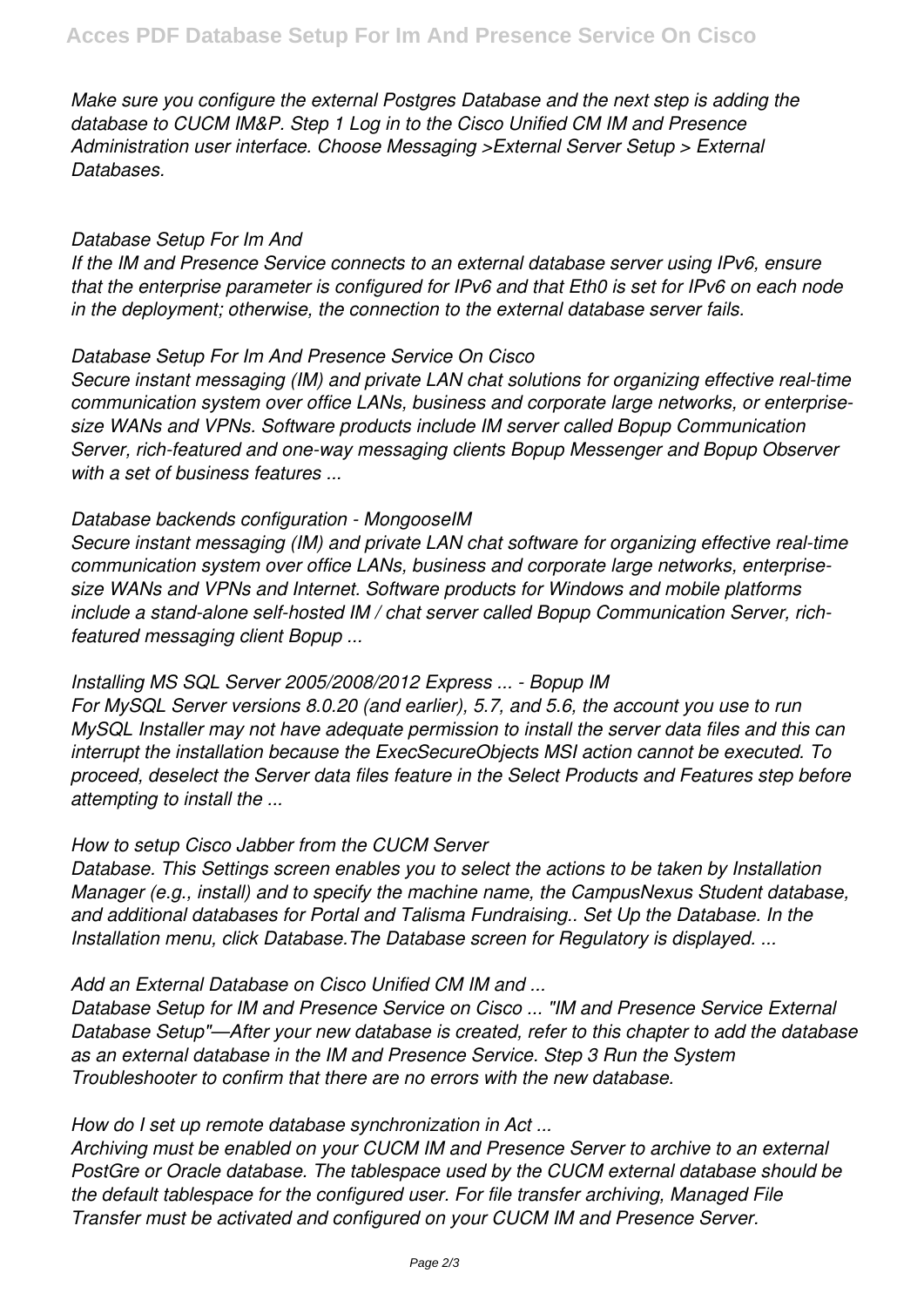*Make sure you configure the external Postgres Database and the next step is adding the database to CUCM IM&P. Step 1 Log in to the Cisco Unified CM IM and Presence Administration user interface. Choose Messaging >External Server Setup > External Databases.*

## *Database Setup For Im And*

*If the IM and Presence Service connects to an external database server using IPv6, ensure that the enterprise parameter is configured for IPv6 and that Eth0 is set for IPv6 on each node in the deployment; otherwise, the connection to the external database server fails.*

## *Database Setup For Im And Presence Service On Cisco*

*Secure instant messaging (IM) and private LAN chat solutions for organizing effective real-time communication system over office LANs, business and corporate large networks, or enterprisesize WANs and VPNs. Software products include IM server called Bopup Communication Server, rich-featured and one-way messaging clients Bopup Messenger and Bopup Observer with a set of business features ...*

## *Database backends configuration - MongooseIM*

*Secure instant messaging (IM) and private LAN chat software for organizing effective real-time communication system over office LANs, business and corporate large networks, enterprisesize WANs and VPNs and Internet. Software products for Windows and mobile platforms include a stand-alone self-hosted IM / chat server called Bopup Communication Server, richfeatured messaging client Bopup ...*

## *Installing MS SQL Server 2005/2008/2012 Express ... - Bopup IM*

*For MySQL Server versions 8.0.20 (and earlier), 5.7, and 5.6, the account you use to run MySQL Installer may not have adequate permission to install the server data files and this can interrupt the installation because the ExecSecureObjects MSI action cannot be executed. To proceed, deselect the Server data files feature in the Select Products and Features step before attempting to install the ...*

# *How to setup Cisco Jabber from the CUCM Server*

*Database. This Settings screen enables you to select the actions to be taken by Installation Manager (e.g., install) and to specify the machine name, the CampusNexus Student database, and additional databases for Portal and Talisma Fundraising.. Set Up the Database. In the Installation menu, click Database.The Database screen for Regulatory is displayed. ...*

# *Add an External Database on Cisco Unified CM IM and ...*

*Database Setup for IM and Presence Service on Cisco ... "IM and Presence Service External Database Setup"—After your new database is created, refer to this chapter to add the database as an external database in the IM and Presence Service. Step 3 Run the System Troubleshooter to confirm that there are no errors with the new database.*

## *How do I set up remote database synchronization in Act ...*

*Archiving must be enabled on your CUCM IM and Presence Server to archive to an external PostGre or Oracle database. The tablespace used by the CUCM external database should be the default tablespace for the configured user. For file transfer archiving, Managed File Transfer must be activated and configured on your CUCM IM and Presence Server.*